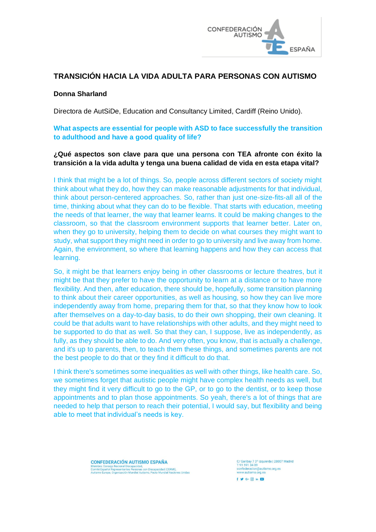

# **TRANSICIÓN HACIA LA VIDA ADULTA PARA PERSONAS CON AUTISMO**

### **Donna Sharland**

Directora de AutSiDe, Education and Consultancy Limited, Cardiff (Reino Unido).

# **What aspects are essential for people with ASD to face successfully the transition to adulthood and have a good quality of life?**

### **¿Qué aspectos son clave para que una persona con TEA afronte con éxito la transición a la vida adulta y tenga una buena calidad de vida en esta etapa vital?**

I think that might be a lot of things. So, people across different sectors of society might think about what they do, how they can make reasonable adjustments for that individual, think about person-centered approaches. So, rather than just one-size-fits-all all of the time, thinking about what they can do to be flexible. That starts with education, meeting the needs of that learner, the way that learner learns. It could be making changes to the classroom, so that the classroom environment supports that learner better. Later on, when they go to university, helping them to decide on what courses they might want to study, what support they might need in order to go to university and live away from home. Again, the environment, so where that learning happens and how they can access that learning.

So, it might be that learners enjoy being in other classrooms or lecture theatres, but it might be that they prefer to have the opportunity to learn at a distance or to have more flexibility. And then, after education, there should be, hopefully, some transition planning to think about their career opportunities, as well as housing, so how they can live more independently away from home, preparing them for that, so that they know how to look after themselves on a day-to-day basis, to do their own shopping, their own cleaning. It could be that adults want to have relationships with other adults, and they might need to be supported to do that as well. So that they can, I suppose, live as independently, as fully, as they should be able to do. And very often, you know, that is actually a challenge, and it's up to parents, then, to teach them these things, and sometimes parents are not the best people to do that or they find it difficult to do that.

I think there's sometimes some inequalities as well with other things, like health care. So, we sometimes forget that autistic people might have complex health needs as well, but they might find it very difficult to go to the GP, or to go to the dentist, or to keep those appointments and to plan those appointments. So yeah, there's a lot of things that are needed to help that person to reach their potential, I would say, but flexibility and being able to meet that individual's needs is key.

> **CONFEDERACIÓN AUTISMO ESPAÑA** Comité Español Representantes Personas con Discapacidad (CERMI),<br>Autismo Europa, Organización Mundial Autismo, Pacto Mundial Naciones Unidas

C/ Garibay 7 3° izquierda | 28007 Madrid<br>T 91 591 34 09 utismo.org.es confederacion@autis<br>www.autismo.org.es  $f \circ G \cdot \textcircled{a}$  in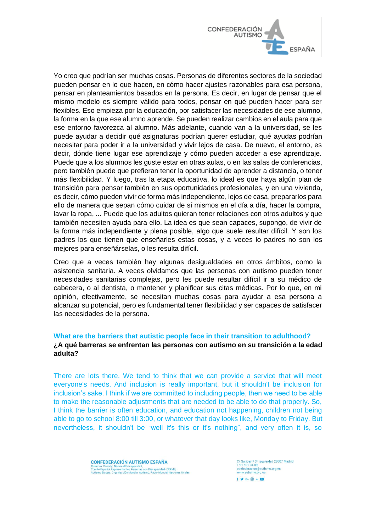

Yo creo que podrían ser muchas cosas. Personas de diferentes sectores de la sociedad pueden pensar en lo que hacen, en cómo hacer ajustes razonables para esa persona, pensar en planteamientos basados en la persona. Es decir, en lugar de pensar que el mismo modelo es siempre válido para todos, pensar en qué pueden hacer para ser flexibles. Eso empieza por la educación, por satisfacer las necesidades de ese alumno, la forma en la que ese alumno aprende. Se pueden realizar cambios en el aula para que ese entorno favorezca al alumno. Más adelante, cuando van a la universidad, se les puede ayudar a decidir qué asignaturas podrían querer estudiar, qué ayudas podrían necesitar para poder ir a la universidad y vivir lejos de casa. De nuevo, el entorno, es decir, dónde tiene lugar ese aprendizaje y cómo pueden acceder a ese aprendizaje. Puede que a los alumnos les guste estar en otras aulas, o en las salas de conferencias, pero también puede que prefieran tener la oportunidad de aprender a distancia, o tener más flexibilidad. Y luego, tras la etapa educativa, lo ideal es que haya algún plan de transición para pensar también en sus oportunidades profesionales, y en una vivienda, es decir, cómo pueden vivir de forma más independiente, lejos de casa, prepararlos para ello de manera que sepan cómo cuidar de sí mismos en el día a día, hacer la compra, lavar la ropa, ... Puede que los adultos quieran tener relaciones con otros adultos y que también necesiten ayuda para ello. La idea es que sean capaces, supongo, de vivir de la forma más independiente y plena posible, algo que suele resultar difícil. Y son los padres los que tienen que enseñarles estas cosas, y a veces lo padres no son los mejores para enseñárselas, o les resulta difícil.

Creo que a veces también hay algunas desigualdades en otros ámbitos, como la asistencia sanitaria. A veces olvidamos que las personas con autismo pueden tener necesidades sanitarias complejas, pero les puede resultar difícil ir a su médico de cabecera, o al dentista, o mantener y planificar sus citas médicas. Por lo que, en mi opinión, efectivamente, se necesitan muchas cosas para ayudar a esa persona a alcanzar su potencial, pero es fundamental tener flexibilidad y ser capaces de satisfacer las necesidades de la persona.

#### **What are the barriers that autistic people face in their transition to adulthood? ¿A qué barreras se enfrentan las personas con autismo en su transición a la edad adulta?**

There are lots there. We tend to think that we can provide a service that will meet everyone's needs. And inclusion is really important, but it shouldn't be inclusion for inclusion's sake. I think if we are committed to including people, then we need to be able to make the reasonable adjustments that are needed to be able to do that properly. So, I think the barrier is often education, and education not happening, children not being able to go to school 8:00 till 3:00, or whatever that day looks like, Monday to Friday. But nevertheless, it shouldn't be "well it's this or it's nothing", and very often it is, so

> **CONFEDERACIÓN AUTISMO ESPAÑA** Comité Español Representantes Personas con Discapacidad (CERMI),<br>Autismo Europa, Organización Mundial Autismo, Pacto Mundial Naciones Unidas

C/ Garibay 7 3º izquierda | 28007 Madrid<br>T 91 591 34 09 utismo.org.es confederacion@autis<br>www.autismo.org.es  $f \circ G \cdot \emptyset$  in El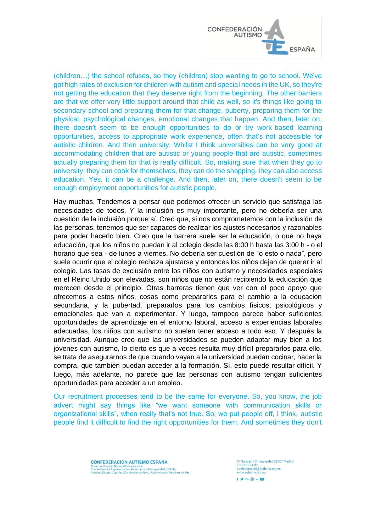

(children…) the school refuses, so they (children) stop wanting to go to school. We've got high rates of exclusion for children with autism and special needs in the UK, so they're not getting the education that they deserve right from the beginning. The other barriers are that we offer very little support around that child as well, so it's things like going to secondary school and preparing them for that change, puberty, preparing them for the physical, psychological changes, emotional changes that happen. And then, later on, there doesn't seem to be enough opportunities to do or try work-based learning opportunities, access to appropriate work experience, often that's not accessible for autistic children. And then university. Whilst I think universities can be very good at accommodating children that are autistic or young people that are autistic, sometimes actually preparing them for that is really difficult. So, making sure that when they go to university, they can cook for themselves, they can do the shopping, they can also access education. Yes, it can be a challenge. And then, later on, there doesn't seem to be enough employment opportunities for autistic people.

Hay muchas. Tendemos a pensar que podemos ofrecer un servicio que satisfaga las necesidades de todos. Y la inclusión es muy importante, pero no debería ser una cuestión de la inclusión porque sí. Creo que, si nos comprometemos con la inclusión de las personas, tenemos que ser capaces de realizar los ajustes necesarios y razonables para poder hacerlo bien. Creo que la barrera suele ser la educación, o que no haya educación, que los niños no puedan ir al colegio desde las 8:00 h hasta las 3:00 h - o el horario que sea - de lunes a viernes. No debería ser cuestión de "o esto o nada", pero suele ocurrir que el colegio rechaza ajustarse y entonces los niños dejan de querer ir al colegio. Las tasas de exclusión entre los niños con autismo y necesidades especiales en el Reino Unido son elevadas, son niños que no están recibiendo la educación que merecen desde el principio. Otras barreras tienen que ver con el poco apoyo que ofrecemos a estos niños, cosas como prepararlos para el cambio a la educación secundaria, y la pubertad, prepararlos para los cambios físicos, psicológicos y emocionales que van a experimentar. Y luego, tampoco parece haber suficientes oportunidades de aprendizaje en el entorno laboral, acceso a experiencias laborales adecuadas, los niños con autismo no suelen tener acceso a todo eso. Y después la universidad. Aunque creo que las universidades se pueden adaptar muy bien a los jóvenes con autismo, lo cierto es que a veces resulta muy difícil prepararlos para ello, se trata de asegurarnos de que cuando vayan a la universidad puedan cocinar, hacer la compra, que también puedan acceder a la formación. Sí, esto puede resultar difícil. Y luego, más adelante, no parece que las personas con autismo tengan suficientes oportunidades para acceder a un empleo.

Our recruitment processes tend to be the same for everyone. So, you know, the job advert might say things like "we want someone with communication skills or organizational skills", when really that's not true. So, we put people off, I think, autistic people find it difficult to find the right opportunities for them. And sometimes they don't

> **CONFEDERACIÓN AUTISMO ESPAÑA** Comité Español Representantes Personas con Discapacidad (CERMI),<br>Autismo Europa, Organización Mundial Autismo, Pacto Mundial Naciones Unidas

3º izquierda | 28007 Madrid C/ Garibay 7 3°<br>T 91 591 34 09 tismo.org.es confederacion@autis<br>www.autismo.org.es  $f \vee g \cdot \textcircled{a}$  in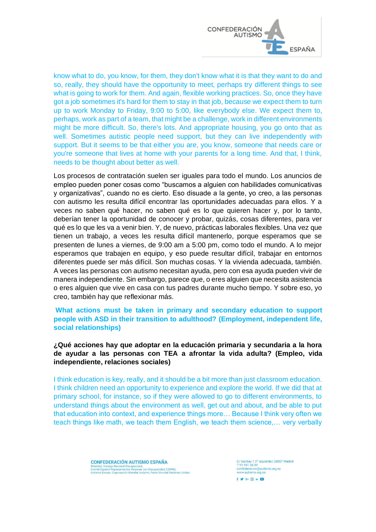

know what to do, you know, for them, they don't know what it is that they want to do and so, really, they should have the opportunity to meet, perhaps try different things to see what is going to work for them. And again, flexible working practices. So, once they have got a job sometimes it's hard for them to stay in that job, because we expect them to turn up to work Monday to Friday, 9:00 to 5:00, like everybody else. We expect them to, perhaps, work as part of a team, that might be a challenge, work in different environments might be more difficult. So, there's lots. And appropriate housing, you go onto that as well. Sometimes autistic people need support, but they can live independently with support. But it seems to be that either you are, you know, someone that needs care or you're someone that lives at home with your parents for a long time. And that, I think, needs to be thought about better as well.

Los procesos de contratación suelen ser iguales para todo el mundo. Los anuncios de empleo pueden poner cosas como "buscamos a alguien con habilidades comunicativas y organizativas", cuando no es cierto. Eso disuade a la gente, yo creo, a las personas con autismo les resulta difícil encontrar las oportunidades adecuadas para ellos. Y a veces no saben qué hacer, no saben qué es lo que quieren hacer y, por lo tanto, deberían tener la oportunidad de conocer y probar, quizás, cosas diferentes, para ver qué es lo que les va a venir bien. Y, de nuevo, prácticas laborales flexibles. Una vez que tienen un trabajo, a veces les resulta difícil mantenerlo, porque esperamos que se presenten de lunes a viernes, de 9:00 am a 5:00 pm, como todo el mundo. A lo mejor esperamos que trabajen en equipo, y eso puede resultar difícil, trabajar en entornos diferentes puede ser más difícil. Son muchas cosas. Y la vivienda adecuada, también. A veces las personas con autismo necesitan ayuda, pero con esa ayuda pueden vivir de manera independiente. Sin embargo, parece que, o eres alguien que necesita asistencia o eres alguien que vive en casa con tus padres durante mucho tiempo. Y sobre eso, yo creo, también hay que reflexionar más.

### **What actions must be taken in primary and secondary education to support people with ASD in their transition to adulthood? (Employment, independent life, social relationships)**

# **¿Qué acciones hay que adoptar en la educación primaria y secundaria a la hora de ayudar a las personas con TEA a afrontar la vida adulta? (Empleo, vida independiente, relaciones sociales)**

I think education is key, really, and it should be a bit more than just classroom education. I think children need an opportunity to experience and explore the world. If we did that at primary school, for instance, so if they were allowed to go to different environments, to understand things about the environment as well, get out and about, and be able to put that education into context, and experience things more… Because I think very often we teach things like math, we teach them English, we teach them science,… very verbally

> **CONFEDERACIÓN AUTISMO ESPAÑA** Comité Español Representantes Personas con Discapacidad (CERMI),<br>Autismo Europa, Organización Mundial Autismo, Pacto Mundial Naciones Unidas

C/ Garibay 7 3° izquierda | 28007 Madrid<br>T 91 591 34 09 tismo.org.es confederacion@autis<br>www.autismo.org.es  $f \circ G \cdot \textcircled{a}$  in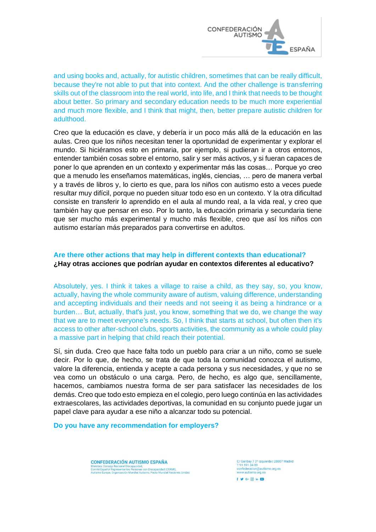

and using books and, actually, for autistic children, sometimes that can be really difficult, because they're not able to put that into context. And the other challenge is transferring skills out of the classroom into the real world, into life, and I think that needs to be thought about better. So primary and secondary education needs to be much more experiential and much more flexible, and I think that might, then, better prepare autistic children for adulthood.

Creo que la educación es clave, y debería ir un poco más allá de la educación en las aulas. Creo que los niños necesitan tener la oportunidad de experimentar y explorar el mundo. Si hiciéramos esto en primaria, por ejemplo, si pudieran ir a otros entornos, entender también cosas sobre el entorno, salir y ser más activos, y si fueran capaces de poner lo que aprenden en un contexto y experimentar más las cosas… Porque yo creo que a menudo les enseñamos matemáticas, inglés, ciencias, … pero de manera verbal y a través de libros y, lo cierto es que, para los niños con autismo esto a veces puede resultar muy difícil, porque no pueden situar todo eso en un contexto. Y la otra dificultad consiste en transferir lo aprendido en el aula al mundo real, a la vida real, y creo que también hay que pensar en eso. Por lo tanto, la educación primaria y secundaria tiene que ser mucho más experimental y mucho más flexible, creo que así los niños con autismo estarían más preparados para convertirse en adultos.

# **Are there other actions that may help in different contexts than educational? ¿Hay otras acciones que podrían ayudar en contextos diferentes al educativo?**

Absolutely, yes. I think it takes a village to raise a child, as they say, so, you know, actually, having the whole community aware of autism, valuing difference, understanding and accepting individuals and their needs and not seeing it as being a hindrance or a burden… But, actually, that's just, you know, something that we do, we change the way that we are to meet everyone's needs. So, I think that starts at school, but often then it's access to other after-school clubs, sports activities, the community as a whole could play a massive part in helping that child reach their potential.

Sí, sin duda. Creo que hace falta todo un pueblo para criar a un niño, como se suele decir. Por lo que, de hecho, se trata de que toda la comunidad conozca el autismo, valore la diferencia, entienda y acepte a cada persona y sus necesidades, y que no se vea como un obstáculo o una carga. Pero, de hecho, es algo que, sencillamente, hacemos, cambiamos nuestra forma de ser para satisfacer las necesidades de los demás. Creo que todo esto empieza en el colegio, pero luego continúa en las actividades extraescolares, las actividades deportivas, la comunidad en su conjunto puede jugar un papel clave para ayudar a ese niño a alcanzar todo su potencial.

**Do you have any recommendation for employers?**

CONFEDERACIÓN ALITISMO ESPAÑA Comité Español Representantes Personas con Discapacidad (CERMI),<br>Autismo Europa, Organización Mundial Autismo, Pacto Mundial Naciones Unidas C/ Garibay 7 3° izquierda | 28007 Madrid<br>T 91 591 34 09 tismo.org.es confederacion@autis<br>www.autismo.org.es  $f \circ G \cdot \textcircled{a}$  in